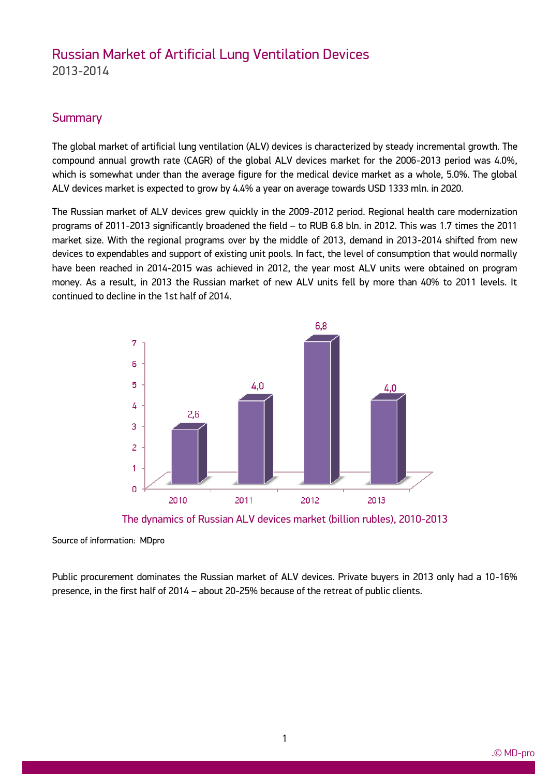# Russian Market of Artificial Lung Ventilation Devices 2013-2014

### **Summary**

The global market of artificial lung ventilation (ALV) devices is characterized by steady incremental growth. The compound annual growth rate (CAGR) of the global ALV devices market for the 2006-2013 period was 4.0%, which is somewhat under than the average figure for the medical device market as a whole, 5.0%. The global ALV devices market is expected to grow by 4.4% a year on average towards USD 1333 mln. in 2020.

The Russian market of ALV devices grew quickly in the 2009-2012 period. Regional health care modernization programs of 2011-2013 significantly broadened the field – to RUB 6.8 bln. in 2012. This was 1.7 times the 2011 market size. With the regional programs over by the middle of 2013, demand in 2013-2014 shifted from new devices to expendables and support of existing unit pools. In fact, the level of consumption that would normally have been reached in 2014-2015 was achieved in 2012, the year most ALV units were obtained on program money. As a result, in 2013 the Russian market of new ALV units fell by more than 40% to 2011 levels. It continued to decline in the 1st half of 2014.





Source of information: MDpro

ww.mdecker.com

Public procurement dominates the Russian market of ALV devices. Private buyers in 2013 only had a 10-16% presence, in the first half of 2014 – about 20-25% because of the retreat of public clients.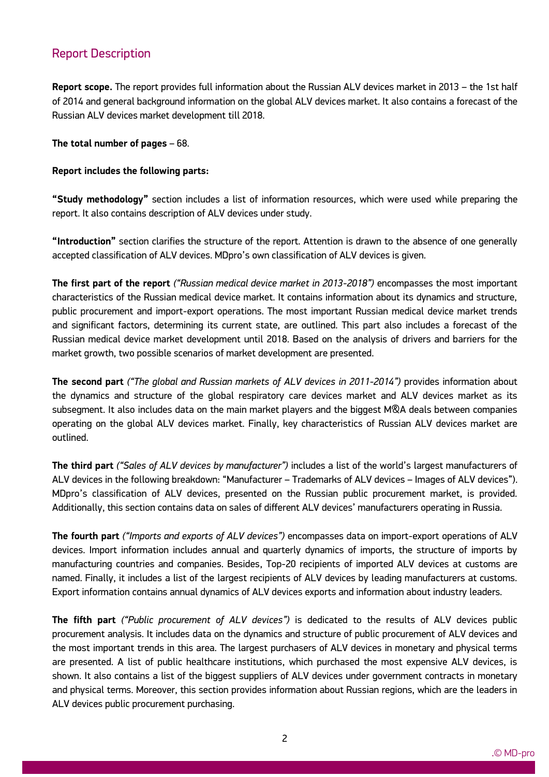### Report Description

ww.mdecker.com

**Report scope.** The report provides full information about the Russian ALV devices market in 2013 – the 1st half of 2014 and general background information on the global ALV devices market. It also contains a forecast of the Russian ALV devices market development till 2018.

**The total number of pages** – 68.

#### **Report includes the following parts:**

**"Study methodology"** section includes a list of information resources, which were used while preparing the report. It also contains description of ALV devices under study.

**"Introduction"** section clarifies the structure of the report. Attention is drawn to the absence of one generally accepted classification of ALV devices. MDpro's own classification of ALV devices is given.

**The first part of the report** *("Russian medical device market in 2013-2018")* encompasses the most important characteristics of the Russian medical device market. It contains information about its dynamics and structure, public procurement and import-export operations. The most important Russian medical device market trends and significant factors, determining its current state, are outlined. This part also includes a forecast of the Russian medical device market development until 2018. Based on the analysis of drivers and barriers for the market growth, two possible scenarios of market development are presented.

**The second part** *("The global and Russian markets of ALV devices in 2011-2014")* provides information about the dynamics and structure of the global respiratory care devices market and ALV devices market as its subsegment. It also includes data on the main market players and the biggest MQA deals between companies operating on the global ALV devices market. Finally, key characteristics of Russian ALV devices market are outlined.

**The third part** *("Sales of ALV devices by manufacturer")* includes a list of the world's largest manufacturers of ALV devices in the following breakdown: "Manufacturer – Trademarks of ALV devices – Images of ALV devices"). MDpro's classification of ALV devices, presented on the Russian public procurement market, is provided. Additionally, this section contains data on sales of different ALV devices' manufacturers operating in Russia.

**The fourth part** *("Imports and exports of ALV devices")* encompasses data on import-export operations of ALV devices. Import information includes annual and quarterly dynamics of imports, the structure of imports by manufacturing countries and companies. Besides, Top-20 recipients of imported ALV devices at customs are named. Finally, it includes a list of the largest recipients of ALV devices by leading manufacturers at customs. Export information contains annual dynamics of ALV devices exports and information about industry leaders.

**The fifth part** *("Public procurement of ALV devices")* is dedicated to the results of ALV devices public procurement analysis. It includes data on the dynamics and structure of public procurement of ALV devices and the most important trends in this area. The largest purchasers of ALV devices in monetary and physical terms are presented. A list of public healthcare institutions, which purchased the most expensive ALV devices, is shown. It also contains a list of the biggest suppliers of ALV devices under government contracts in monetary and physical terms. Moreover, this section provides information about Russian regions, which are the leaders in ALV devices public procurement purchasing.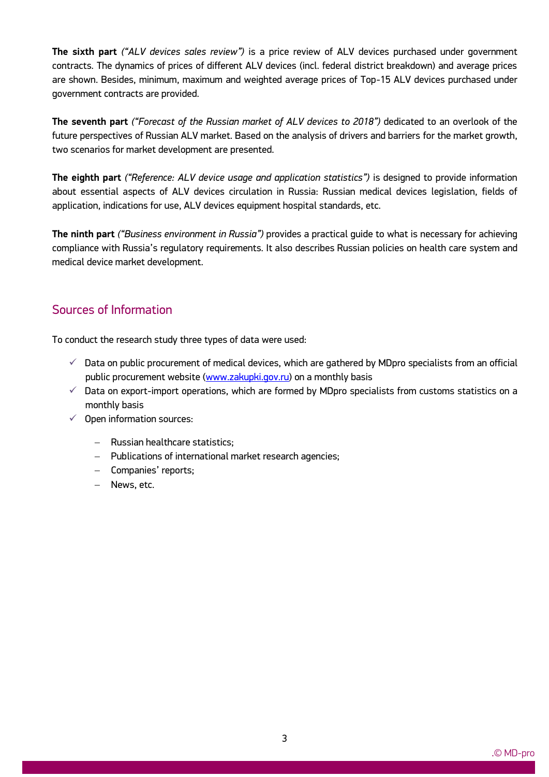**The sixth part** *("ALV devices sales review")* is a price review of ALV devices purchased under government contracts. The dynamics of prices of different ALV devices (incl. federal district breakdown) and average prices are shown. Besides, minimum, maximum and weighted average prices of Top-15 ALV devices purchased under government contracts are provided.

**The seventh part** *("Forecast of the Russian market of ALV devices to 2018")* dedicated to an overlook of the future perspectives of Russian ALV market. Based on the analysis of drivers and barriers for the market growth, two scenarios for market development are presented.

**The eighth part** *("Reference: ALV device usage and application statistics")* is designed to provide information about essential aspects of ALV devices circulation in Russia: Russian medical devices legislation, fields of application, indications for use, ALV devices equipment hospital standards, etc.

**The ninth part** *("Business environment in Russia")* provides a practical guide to what is necessary for achieving compliance with Russia's regulatory requirements. It also describes Russian policies on health care system and medical device market development.

# Sources of Information

To conduct the research study three types of data were used:

- $\checkmark$  Data on public procurement of medical devices, which are gathered by MDpro specialists from an official public procurement website [\(www.zakupki.gov.ru\)](http://www.zakupki.gov.ru/) on a monthly basis
- $\checkmark$  Data on export-import operations, which are formed by MDpro specialists from customs statistics on a monthly basis
- $\checkmark$  Open information sources:
	- Russian healthcare statistics:
	- Publications of international market research agencies;
	- Companies' reports;
	- News, etc.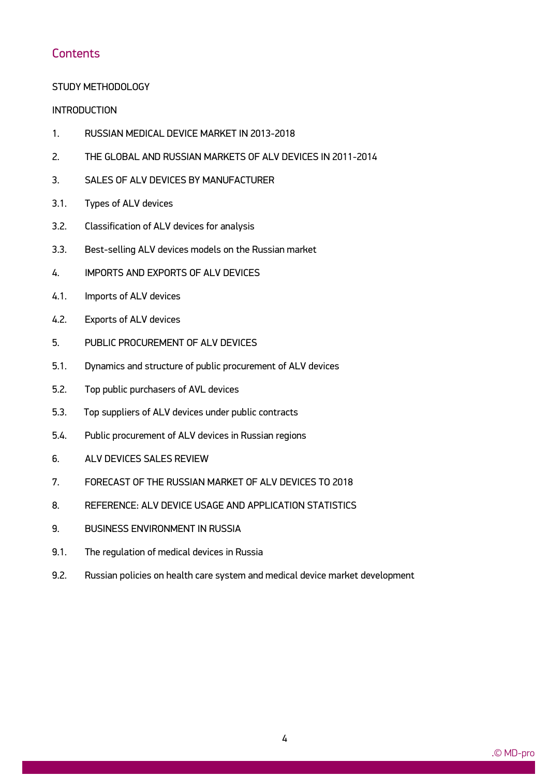### **Contents**

#### STUDY METHODOLOGY

#### **INTRODUCTION**

- 1. RUSSIAN MEDICAL DEVICE MARKET IN 2013-2018
- 2. THE GLOBAL AND RUSSIAN MARKETS OF ALV DEVICES IN 2011-2014
- 3. SALES OF ALV DEVICES BY MANUFACTURER
- 3.1. Types of ALV devices
- 3.2. Classification of ALV devices for analysis
- 3.3. Best-selling ALV devices models on the Russian market
- 4. IMPORTS AND EXPORTS OF ALV DEVICES
- 4.1. Imports of ALV devices
- 4.2. Exports of ALV devices
- 5. PUBLIC PROCUREMENT OF ALV DEVICES
- 5.1. Dynamics and structure of public procurement of ALV devices
- 5.2. Top public purchasers of AVL devices
- 5.3. Top suppliers of ALV devices under public contracts
- 5.4. Public procurement of ALV devices in Russian regions
- 6. ALV DEVICES SALES REVIEW

- 7. FORECAST OF THE RUSSIAN MARKET OF ALV DEVICES TO 2018
- 8. REFERENCE: ALV DEVICE USAGE AND APPLICATION STATISTICS
- 9. BUSINESS ENVIRONMENT IN RUSSIA
- 9.1. The regulation of medical devices in Russia
- 9.2. Russian policies on health care system and medical device market development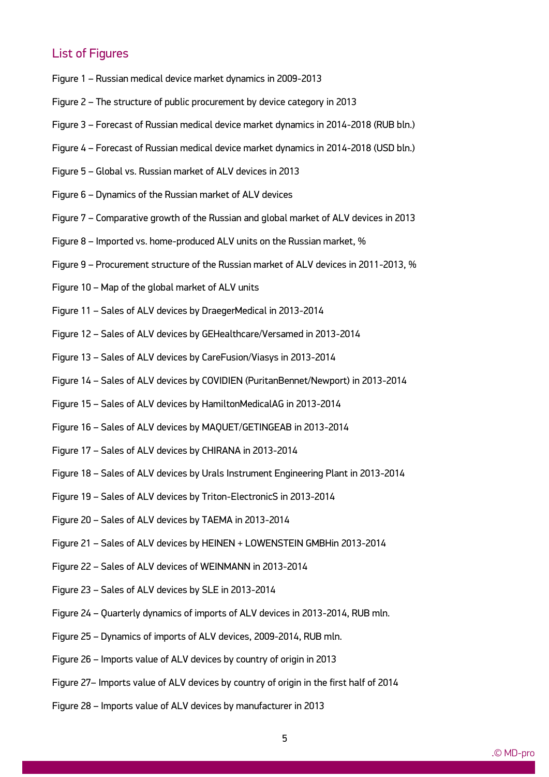### List of Figures

- Figure 1 Russian medical device market dynamics in 2009-2013
- Figure 2 The structure of public procurement by device category in 2013
- Figure 3 Forecast of Russian medical device market dynamics in 2014-2018 (RUB bln.)
- Figure 4 Forecast of Russian medical device market dynamics in 2014-2018 (USD bln.)
- Figure 5 Global vs. Russian market of ALV devices in 2013
- Figure 6 Dynamics of the Russian market of ALV devices
- Figure 7 Comparative growth of the Russian and global market of ALV devices in 2013
- Figure 8 Imported vs. home-produced ALV units on the Russian market, %
- Figure 9 Procurement structure of the Russian market of ALV devices in 2011-2013, %
- Figure 10 Map of the global market of ALV units
- Figure 11 Sales of ALV devices by DraegerMedical in 2013-2014
- Figure 12 Sales of ALV devices by GEHealthcare/Versamed in 2013-2014
- Figure 13 Sales of ALV devices by CareFusion/Viasys in 2013-2014
- Figure 14 Sales of ALV devices by COVIDIEN (PuritanBennet/Newport) in 2013-2014
- Figure 15 Sales of ALV devices by HamiltonMedicalAG in 2013-2014
- Figure 16 Sales of ALV devices by MAQUET/GETINGEAB in 2013-2014
- Figure 17 Sales of ALV devices by CHIRANA in 2013-2014
- Figure 18 Sales of ALV devices by Urals Instrument Engineering Plant in 2013-2014
- Figure 19 Sales of ALV devices by Triton-ElectronicS in 2013-2014
- Figure 20 Sales of ALV devices by TAEMA in 2013-2014
- Figure 21 Sales of ALV devices by HEINEN + LOWENSTEIN GMBHin 2013-2014
- Figure 22 Sales of ALV devices of WEINMANN in 2013-2014
- Figure 23 Sales of ALV devices by SLE in 2013-2014

- Figure 24 Quarterly dynamics of imports of ALV devices in 2013-2014, RUB mln.
- Figure 25 Dynamics of imports of ALV devices, 2009-2014, RUB mln.
- Figure 26 Imports value of ALV devices by country of origin in 2013
- Figure 27– Imports value of ALV devices by country of origin in the first half of 2014
- Figure 28 Imports value of ALV devices by manufacturer in 2013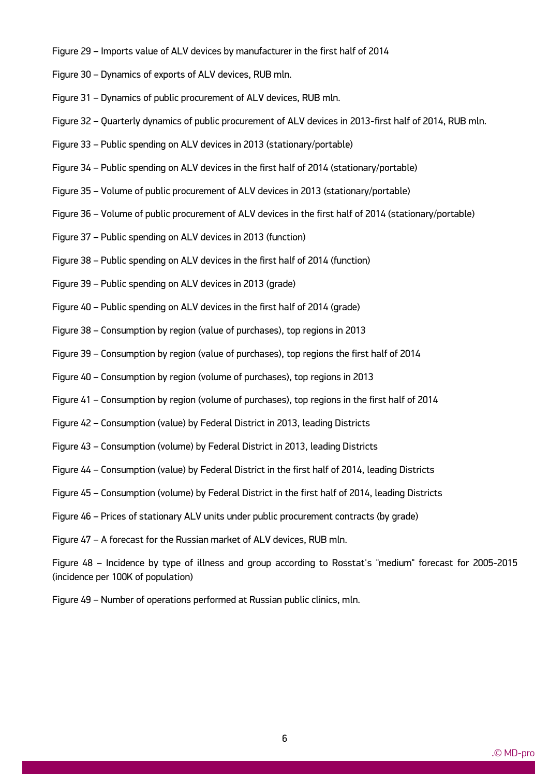- Figure 29 Imports value of ALV devices by manufacturer in the first half of 2014
- Figure 30 Dynamics of exports of ALV devices, RUB mln.
- Figure 31 Dynamics of public procurement of ALV devices, RUB mln.
- Figure 32 Quarterly dynamics of public procurement of ALV devices in 2013-first half of 2014, RUB mln.
- Figure 33 Public spending on ALV devices in 2013 (stationary/portable)
- Figure 34 Public spending on ALV devices in the first half of 2014 (stationary/portable)
- Figure 35 Volume of public procurement of ALV devices in 2013 (stationary/portable)
- Figure 36 Volume of public procurement of ALV devices in the first half of 2014 (stationary/portable)
- Figure 37 Public spending on ALV devices in 2013 (function)
- Figure 38 Public spending on ALV devices in the first half of 2014 (function)
- Figure 39 Public spending on ALV devices in 2013 (grade)
- Figure 40 Public spending on ALV devices in the first half of 2014 (grade)
- Figure 38 Consumption by region (value of purchases), top regions in 2013
- Figure 39 Consumption by region (value of purchases), top regions the first half of 2014
- Figure 40 Consumption by region (volume of purchases), top regions in 2013
- Figure 41 Consumption by region (volume of purchases), top regions in the first half of 2014
- Figure 42 Consumption (value) by Federal District in 2013, leading Districts
- Figure 43 Consumption (volume) by Federal District in 2013, leading Districts
- Figure 44 Consumption (value) by Federal District in the first half of 2014, leading Districts
- Figure 45 Consumption (volume) by Federal District in the first half of 2014, leading Districts
- Figure 46 Prices of stationary ALV units under public procurement contracts (by grade)
- Figure 47 A forecast for the Russian market of ALV devices, RUB mln.

Figure 48 – Incidence by type of illness and group according to Rosstat's "medium" forecast for 2005-2015 (incidence per 100K of population)

Figure 49 – Number of operations performed at Russian public clinics, mln.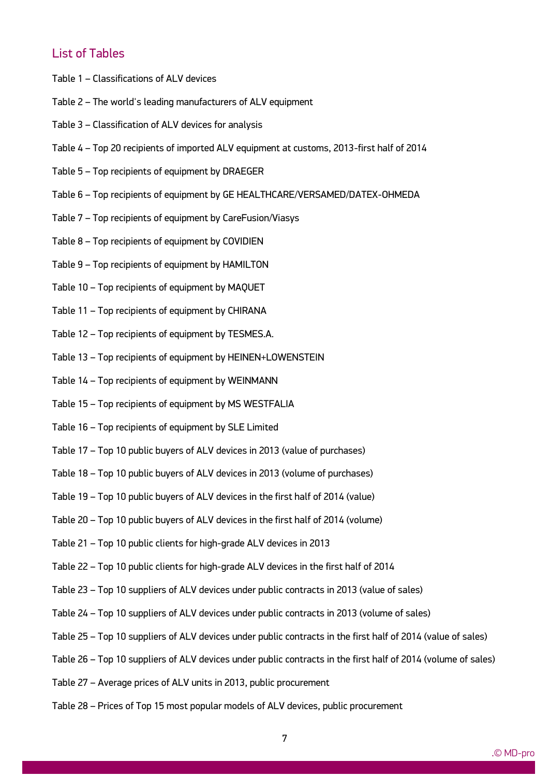# List of Tables

- Table 1 Classifications of ALV devices
- Table 2 The world's leading manufacturers of ALV equipment
- Table 3 Classification of ALV devices for analysis
- Table 4 Top 20 recipients of imported ALV equipment at customs, 2013-first half of 2014
- Table 5 Top recipients of equipment by DRAEGER
- Table 6 Top recipients of equipment by GE HEALTHCARE/VERSAMED/DATEX-OHMEDA
- Table 7 Top recipients of equipment by CareFusion/Viasys
- Table 8 Top recipients of equipment by COVIDIEN
- Table 9 Top recipients of equipment by HAMILTON
- Table 10 Top recipients of equipment by MAQUET
- Table 11 Top recipients of equipment by CHIRANA
- Table 12 Top recipients of equipment by TESMES.A.
- Table 13 Top recipients of equipment by HEINEN+LOWENSTEIN
- Table 14 Top recipients of equipment by WEINMANN
- Table 15 Top recipients of equipment by MS WESTFALIA
- Table 16 Top recipients of equipment by SLE Limited
- Table 17 Top 10 public buyers of ALV devices in 2013 (value of purchases)
- Table 18 Top 10 public buyers of ALV devices in 2013 (volume of purchases)
- Table 19 Top 10 public buyers of ALV devices in the first half of 2014 (value)
- Table 20 Top 10 public buyers of ALV devices in the first half of 2014 (volume)
- Table 21 Top 10 public clients for high-grade ALV devices in 2013
- Table 22 Top 10 public clients for high-grade ALV devices in the first half of 2014
- Table 23 Top 10 suppliers of ALV devices under public contracts in 2013 (value of sales)
- Table 24 Top 10 suppliers of ALV devices under public contracts in 2013 (volume of sales)
- Table 25 Top 10 suppliers of ALV devices under public contracts in the first half of 2014 (value of sales)
- Table 26 Top 10 suppliers of ALV devices under public contracts in the first half of 2014 (volume of sales)
- Table 27 Average prices of ALV units in 2013, public procurement

ww.mdecker.com

Table 28 – Prices of Top 15 most popular models of ALV devices, public procurement